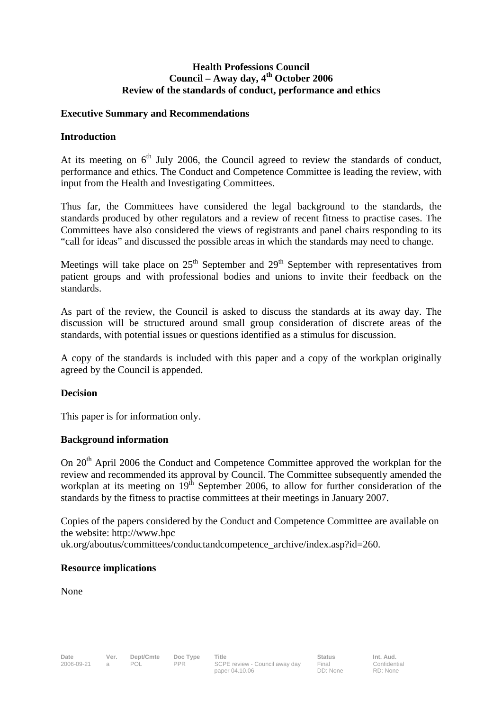## **Health Professions Council**  Council – Away day, 4<sup>th</sup> October 2006 **Review of the standards of conduct, performance and ethics**

### **Executive Summary and Recommendations**

## **Introduction**

At its meeting on  $6<sup>th</sup>$  July 2006, the Council agreed to review the standards of conduct, performance and ethics. The Conduct and Competence Committee is leading the review, with input from the Health and Investigating Committees.

Thus far, the Committees have considered the legal background to the standards, the standards produced by other regulators and a review of recent fitness to practise cases. The Committees have also considered the views of registrants and panel chairs responding to its "call for ideas" and discussed the possible areas in which the standards may need to change.

Meetings will take place on  $25<sup>th</sup>$  September and  $29<sup>th</sup>$  September with representatives from patient groups and with professional bodies and unions to invite their feedback on the standards.

As part of the review, the Council is asked to discuss the standards at its away day. The discussion will be structured around small group consideration of discrete areas of the standards, with potential issues or questions identified as a stimulus for discussion.

A copy of the standards is included with this paper and a copy of the workplan originally agreed by the Council is appended.

#### **Decision**

This paper is for information only.

## **Background information**

On 20<sup>th</sup> April 2006 the Conduct and Competence Committee approved the workplan for the review and recommended its approval by Council. The Committee subsequently amended the workplan at its meeting on  $19<sup>th</sup>$  September 2006, to allow for further consideration of the standards by the fitness to practise committees at their meetings in January 2007.

Copies of the papers considered by the Conduct and Competence Committee are available on the website: http://www.hpc uk.org/aboutus/committees/conductandcompetence\_archive/index.asp?id=260.

#### **Resource implications**

None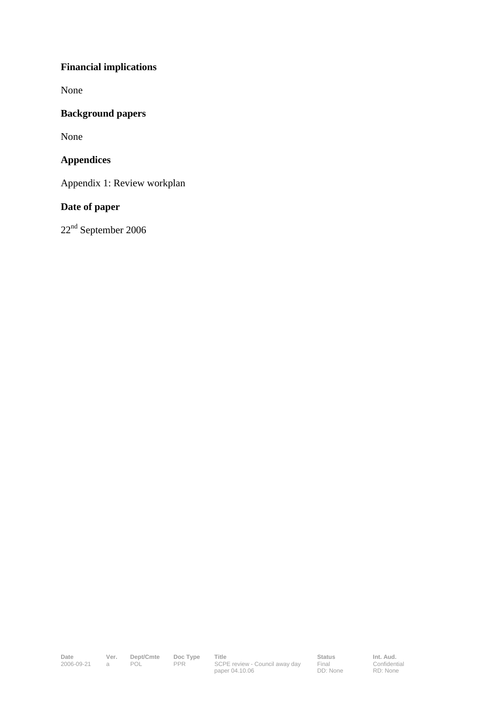# **Financial implications**

None

## **Background papers**

None

## **Appendices**

Appendix 1: Review workplan

## **Date of paper**

22nd September 2006

Date **Status** Ver. Dept/Cmte Doc Type Title **Status** Status Int. Aud. 2006-09-21 a POL PPR SCPE review - Council away day paper 04.10.06

Final DD: None **Confidential** RD: None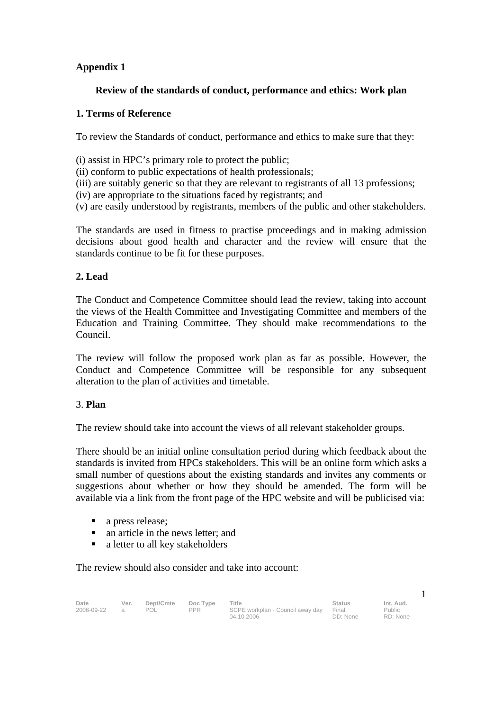## **Appendix 1**

## **Review of the standards of conduct, performance and ethics: Work plan**

## **1. Terms of Reference**

To review the Standards of conduct, performance and ethics to make sure that they:

(i) assist in HPC's primary role to protect the public;

(ii) conform to public expectations of health professionals;

(iii) are suitably generic so that they are relevant to registrants of all 13 professions;

(iv) are appropriate to the situations faced by registrants; and

(v) are easily understood by registrants, members of the public and other stakeholders.

The standards are used in fitness to practise proceedings and in making admission decisions about good health and character and the review will ensure that the standards continue to be fit for these purposes.

## **2. Lead**

The Conduct and Competence Committee should lead the review, taking into account the views of the Health Committee and Investigating Committee and members of the Education and Training Committee. They should make recommendations to the Council.

The review will follow the proposed work plan as far as possible. However, the Conduct and Competence Committee will be responsible for any subsequent alteration to the plan of activities and timetable.

## 3. **Plan**

The review should take into account the views of all relevant stakeholder groups.

There should be an initial online consultation period during which feedback about the standards is invited from HPCs stakeholders. This will be an online form which asks a small number of questions about the existing standards and invites any comments or suggestions about whether or how they should be amended. The form will be available via a link from the front page of the HPC website and will be publicised via:

- a press release:
- an article in the news letter; and
- a letter to all key stakeholders

### The review should also consider and take into account:

| Date       | Ver. | Dept/Cmte | Doc Type | Title                                  | <b>Status</b> | Int. Aud. |
|------------|------|-----------|----------|----------------------------------------|---------------|-----------|
| 2006-09-22 |      | POL       | PPR      | SCPE workplan - Council away day Final |               | Public    |
|            |      |           |          | 04.10.2006                             | DD: None      | RD: None  |

1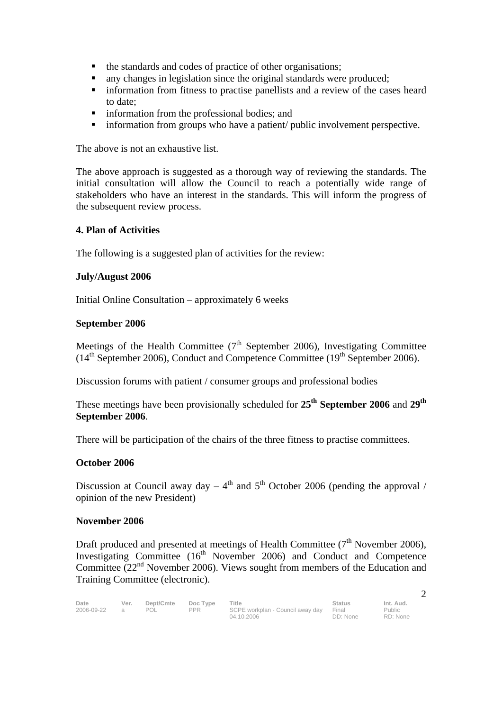- the standards and codes of practice of other organisations;
- any changes in legislation since the original standards were produced;
- information from fitness to practise panellists and a review of the cases heard to date;
- **n** information from the professional bodies; and
- **information from groups who have a patient/ public involvement perspective.**

The above is not an exhaustive list.

The above approach is suggested as a thorough way of reviewing the standards. The initial consultation will allow the Council to reach a potentially wide range of stakeholders who have an interest in the standards. This will inform the progress of the subsequent review process.

#### **4. Plan of Activities**

The following is a suggested plan of activities for the review:

#### **July/August 2006**

Initial Online Consultation – approximately 6 weeks

#### **September 2006**

Meetings of the Health Committee  $(7<sup>th</sup>$  September 2006), Investigating Committee  $(14<sup>th</sup> September 2006)$ , Conduct and Competence Committee  $(19<sup>th</sup> September 2006)$ .

Discussion forums with patient / consumer groups and professional bodies

These meetings have been provisionally scheduled for **25th September 2006** and **29th September 2006**.

There will be participation of the chairs of the three fitness to practise committees.

#### **October 2006**

Discussion at Council away day –  $4<sup>th</sup>$  and  $5<sup>th</sup>$  October 2006 (pending the approval / opinion of the new President)

#### **November 2006**

Draft produced and presented at meetings of Health Committee  $(7<sup>th</sup>$  November 2006). Investigating Committee  $(16<sup>th</sup>$  November 2006) and Conduct and Competence Committee  $(22<sup>nd</sup>$  November 2006). Views sought from members of the Education and Training Committee (electronic).

| Date       | Ver. | Dept/Cmte | Doc Type | <b>Title</b>                           | <b>Status</b> | Int. Aud. |
|------------|------|-----------|----------|----------------------------------------|---------------|-----------|
| 2006-09-22 |      | POL       | PPR      | SCPE workplan - Council away day Final |               | Public    |
|            |      |           |          | 04.10.2006                             | DD: None      | RD: None  |

2